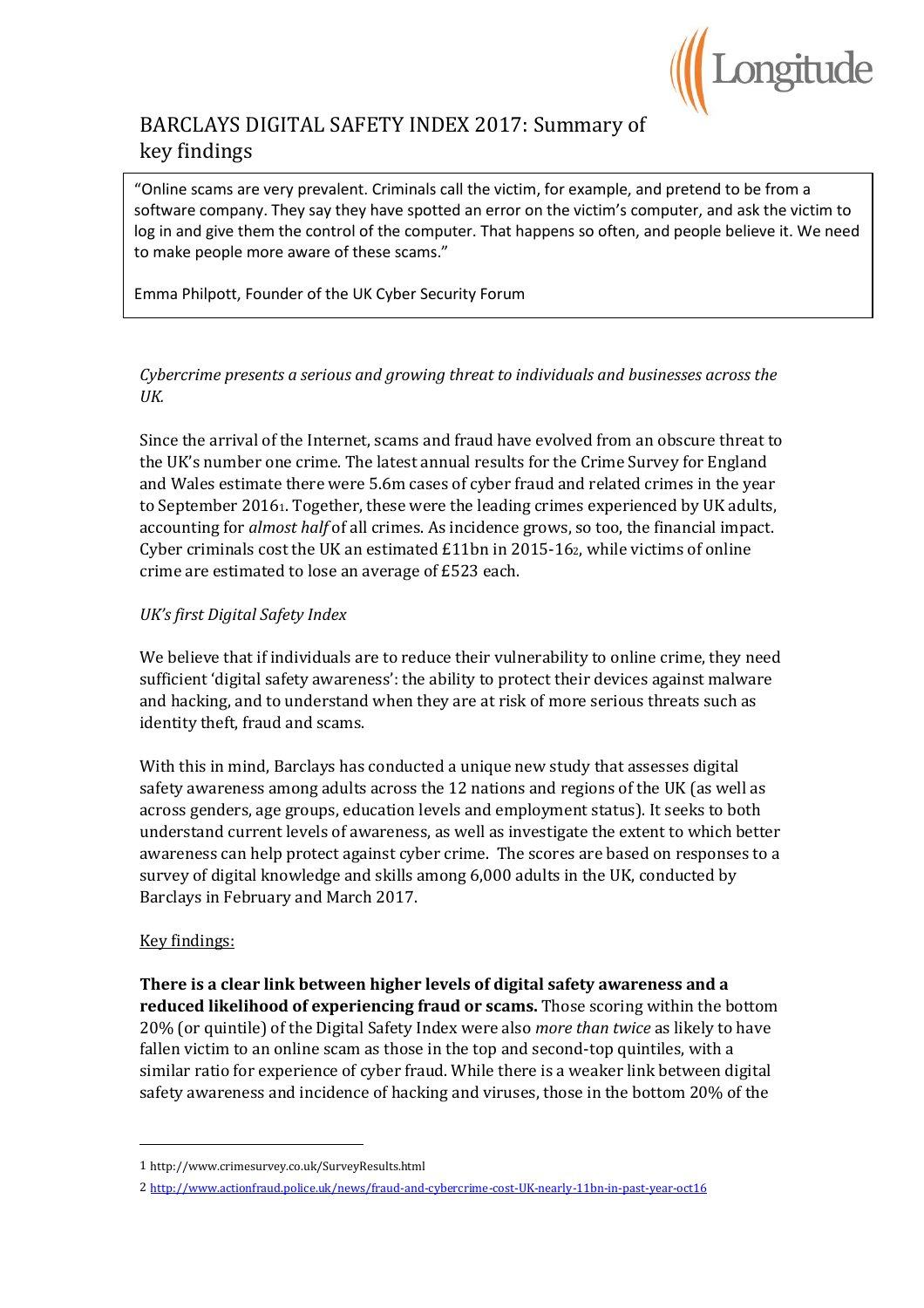

# BARCLAYS DIGITAL SAFETY INDEX 2017: Summary of key findings

"Online scams are very prevalent. Criminals call the victim, for example, and pretend to be from a software company. They say they have spotted an error on the victim's computer, and ask the victim to log in and give them the control of the computer. That happens so often, and people believe it. We need to make people more aware of these scams."

Emma Philpott, Founder of the UK Cyber Security Forum

# *Cybercrime presents a serious and growing threat to individuals and businesses across the UK.*

Since the arrival of the Internet, scams and fraud have evolved from an obscure threat to the UK's number one crime. The latest annual results for the Crime Survey for England and Wales estimate there were 5.6m cases of cyber fraud and related crimes in the year to September 20161. Together, these were the leading crimes experienced by UK adults, accounting for *almost half* of all crimes. As incidence grows, so too, the financial impact. Cyber criminals cost the UK an estimated  $£11bn$  in 2015-162, while victims of online crime are estimated to lose an average of £523 each.

### *UK's first Digital Safety Index*

We believe that if individuals are to reduce their vulnerability to online crime, they need sufficient 'digital safety awareness': the ability to protect their devices against malware and hacking, and to understand when they are at risk of more serious threats such as identity theft, fraud and scams.

With this in mind, Barclays has conducted a unique new study that assesses digital safety awareness among adults across the 12 nations and regions of the UK (as well as across genders, age groups, education levels and employment status). It seeks to both understand current levels of awareness, as well as investigate the extent to which better awareness can help protect against cyber crime. The scores are based on responses to a survey of digital knowledge and skills among 6,000 adults in the UK, conducted by Barclays in February and March 2017.

### Key findings:

 $\overline{\phantom{a}}$ 

**There is a clear link between higher levels of digital safety awareness and a reduced likelihood of experiencing fraud or scams.** Those scoring within the bottom 20% (or quintile) of the Digital Safety Index were also *more than twice* as likely to have fallen victim to an online scam as those in the top and second-top quintiles, with a similar ratio for experience of cyber fraud. While there is a weaker link between digital safety awareness and incidence of hacking and viruses, those in the bottom 20% of the

<sup>1</sup> http://www.crimesurvey.co.uk/SurveyResults.html

<sup>2</sup> <http://www.actionfraud.police.uk/news/fraud-and-cybercrime-cost-UK-nearly-11bn-in-past-year-oct16>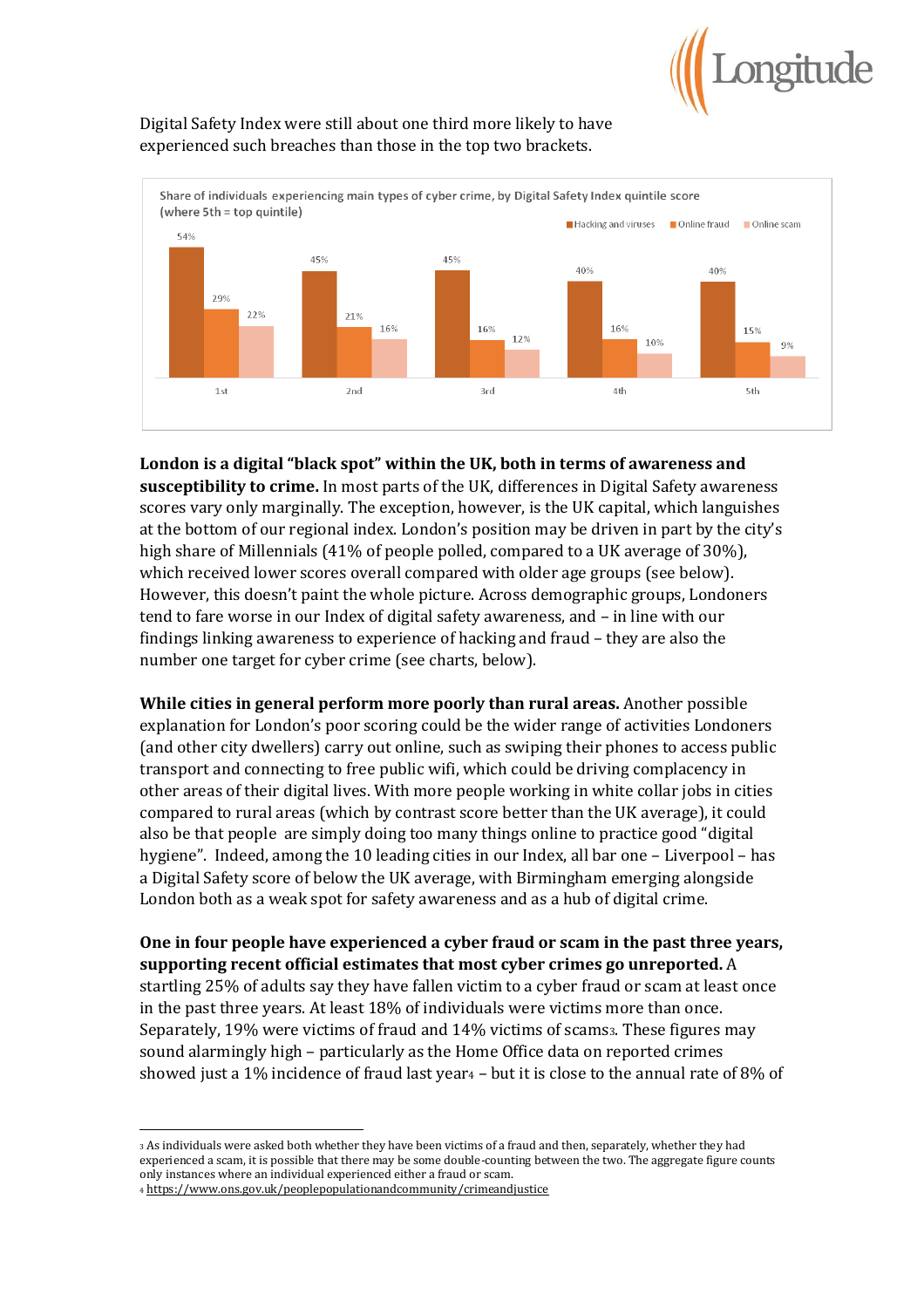

# Digital Safety Index were still about one third more likely to have experienced such breaches than those in the top two brackets.



### **London is a digital "black spot" within the UK, both in terms of awareness and**

**susceptibility to crime.** In most parts of the UK, differences in Digital Safety awareness scores vary only marginally. The exception, however, is the UK capital, which languishes at the bottom of our regional index. London's position may be driven in part by the city's high share of Millennials (41% of people polled, compared to a UK average of 30%), which received lower scores overall compared with older age groups (see below). However, this doesn't paint the whole picture. Across demographic groups, Londoners tend to fare worse in our Index of digital safety awareness, and – in line with our findings linking awareness to experience of hacking and fraud – they are also the number one target for cyber crime (see charts, below).

**While cities in general perform more poorly than rural areas.** Another possible explanation for London's poor scoring could be the wider range of activities Londoners (and other city dwellers) carry out online, such as swiping their phones to access public transport and connecting to free public wifi, which could be driving complacency in other areas of their digital lives. With more people working in white collar jobs in cities compared to rural areas (which by contrast score better than the UK average), it could also be that people are simply doing too many things online to practice good "digital hygiene". Indeed, among the 10 leading cities in our Index, all bar one – Liverpool – has a Digital Safety score of below the UK average, with Birmingham emerging alongside London both as a weak spot for safety awareness and as a hub of digital crime.

**One in four people have experienced a cyber fraud or scam in the past three years, supporting recent official estimates that most cyber crimes go unreported.** A startling 25% of adults say they have fallen victim to a cyber fraud or scam at least once in the past three years. At least 18% of individuals were victims more than once. Separately, 19% were victims of fraud and 14% victims of scams3. These figures may sound alarmingly high – particularly as the Home Office data on reported crimes showed just a 1% incidence of fraud last year<sup>4</sup> – but it is close to the annual rate of 8% of

 $\overline{\phantom{a}}$ <sup>3</sup> As individuals were asked both whether they have been victims of a fraud and then, separately, whether they had experienced a scam, it is possible that there may be some double-counting between the two. The aggregate figure counts only instances where an individual experienced either a fraud or scam.

<sup>4</sup> https://www.ons.gov.uk/peoplepopulationandcommunity/crimeandjustice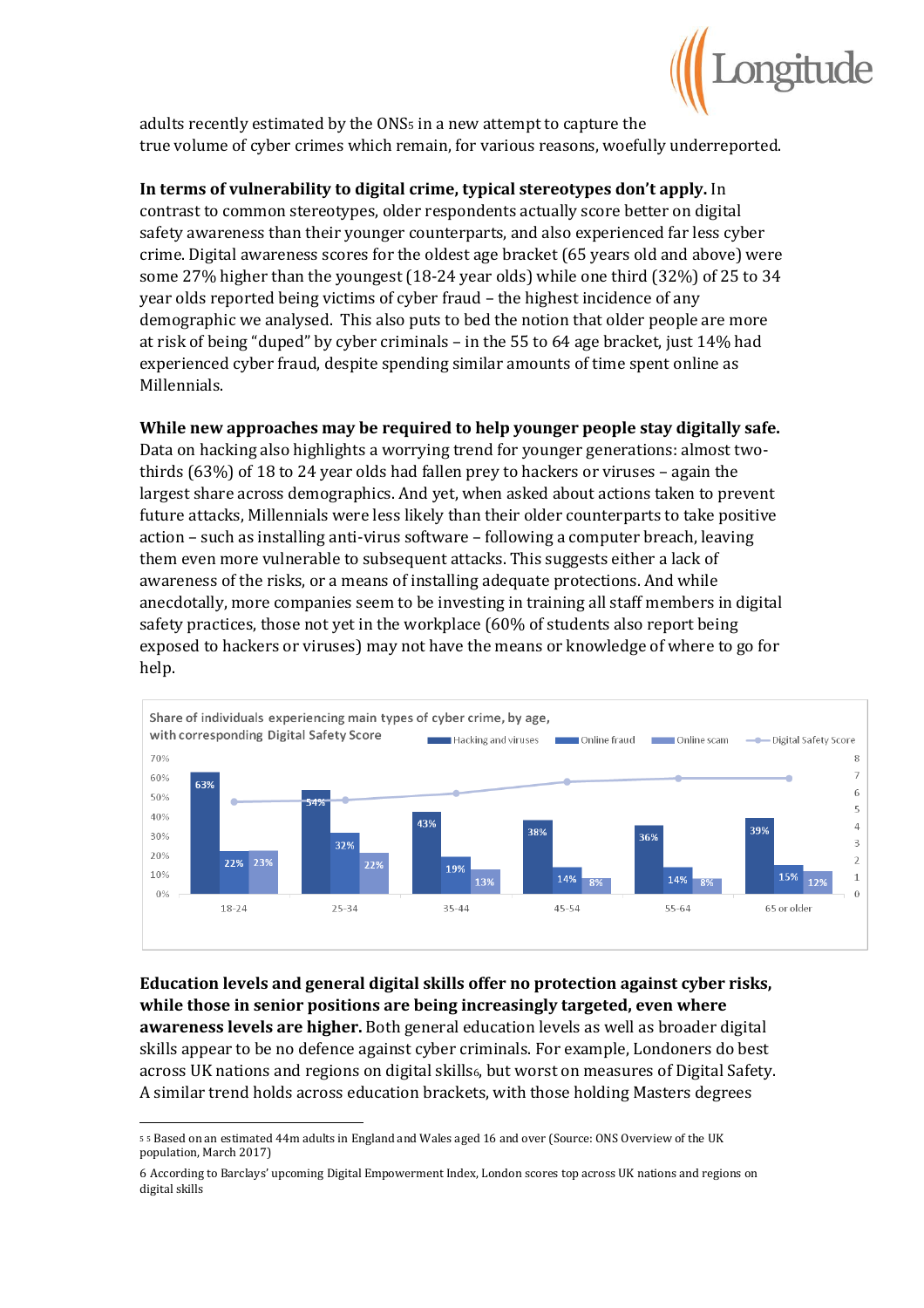

adults recently estimated by the ONS<sup>5</sup> in a new attempt to capture the true volume of cyber crimes which remain, for various reasons, woefully underreported.

### **In terms of vulnerability to digital crime, typical stereotypes don't apply.** In

contrast to common stereotypes, older respondents actually score better on digital safety awareness than their younger counterparts, and also experienced far less cyber crime. Digital awareness scores for the oldest age bracket (65 years old and above) were some 27% higher than the youngest (18-24 year olds) while one third (32%) of 25 to 34 year olds reported being victims of cyber fraud – the highest incidence of any demographic we analysed. This also puts to bed the notion that older people are more at risk of being "duped" by cyber criminals – in the 55 to 64 age bracket, just 14% had experienced cyber fraud, despite spending similar amounts of time spent online as Millennials.

#### **While new approaches may be required to help younger people stay digitally safe.**

Data on hacking also highlights a worrying trend for younger generations: almost twothirds (63%) of 18 to 24 year olds had fallen prey to hackers or viruses – again the largest share across demographics. And yet, when asked about actions taken to prevent future attacks, Millennials were less likely than their older counterparts to take positive action – such as installing anti-virus software – following a computer breach, leaving them even more vulnerable to subsequent attacks. This suggests either a lack of awareness of the risks, or a means of installing adequate protections. And while anecdotally, more companies seem to be investing in training all staff members in digital safety practices, those not yet in the workplace (60% of students also report being exposed to hackers or viruses) may not have the means or knowledge of where to go for help.



**Education levels and general digital skills offer no protection against cyber risks, while those in senior positions are being increasingly targeted, even where awareness levels are higher.** Both general education levels as well as broader digital skills appear to be no defence against cyber criminals. For example, Londoners do best across UK nations and regions on digital skills6, but worst on measures of Digital Safety. A similar trend holds across education brackets, with those holding Masters degrees

<sup>5</sup> <sup>5</sup> Based on an estimated 44m adults in England and Wales aged 16 and over (Source: ONS Overview of the UK population, March 2017)

<sup>6</sup> According to Barclays' upcoming Digital Empowerment Index, London scores top across UK nations and regions on digital skills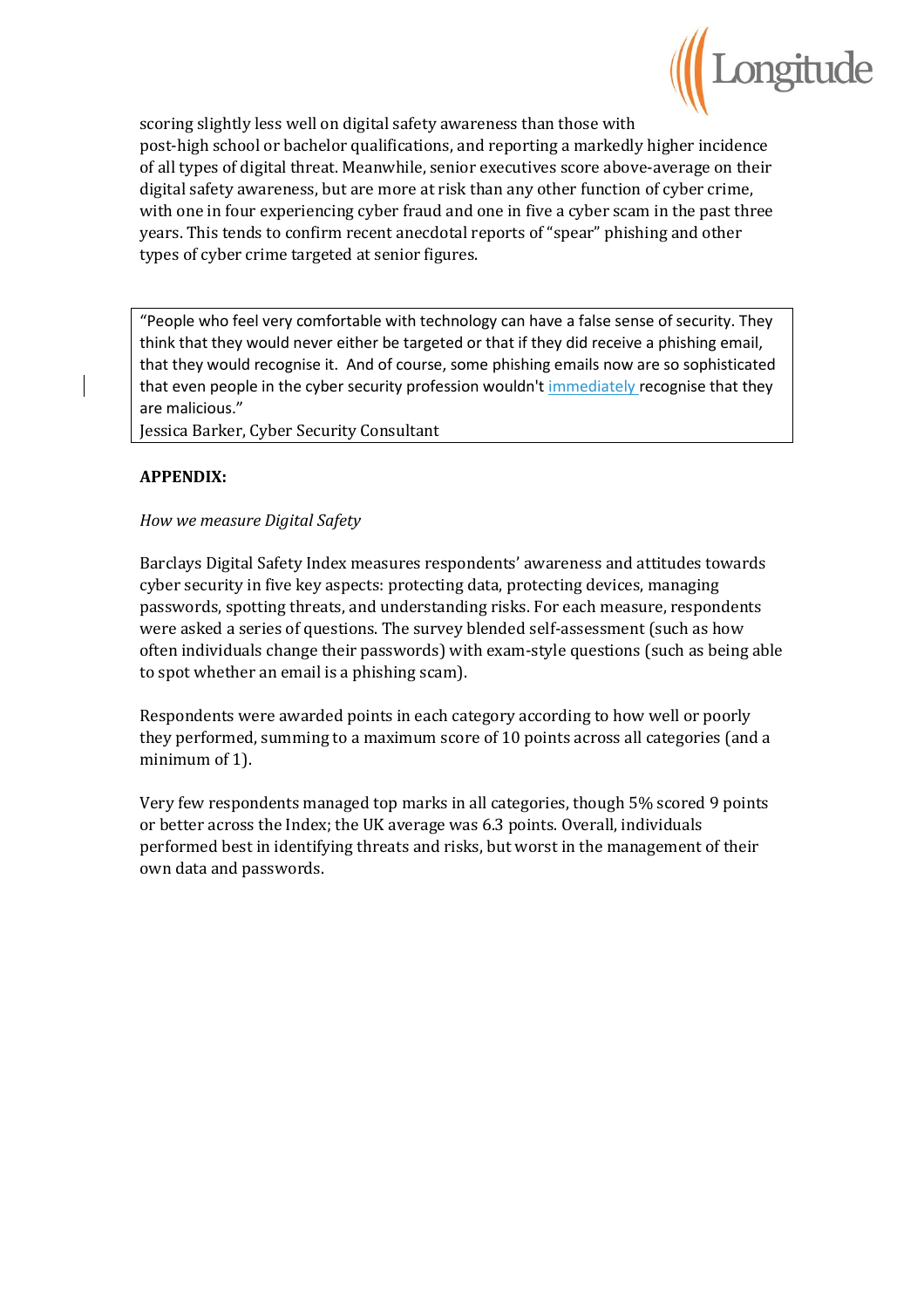

scoring slightly less well on digital safety awareness than those with post-high school or bachelor qualifications, and reporting a markedly higher incidence of all types of digital threat. Meanwhile, senior executives score above-average on their digital safety awareness, but are more at risk than any other function of cyber crime, with one in four experiencing cyber fraud and one in five a cyber scam in the past three years. This tends to confirm recent anecdotal reports of "spear" phishing and other types of cyber crime targeted at senior figures.

"People who feel very comfortable with technology can have a false sense of security. They think that they would never either be targeted or that if they did receive a phishing email, that they would recognise it. And of course, some phishing emails now are so sophisticated that even people in the cyber security profession wouldn't immediately recognise that they are malicious."

Jessica Barker, Cyber Security Consultant

# **APPENDIX:**

# *How we measure Digital Safety*

Barclays Digital Safety Index measures respondents' awareness and attitudes towards cyber security in five key aspects: protecting data, protecting devices, managing passwords, spotting threats, and understanding risks. For each measure, respondents were asked a series of questions. The survey blended self-assessment (such as how often individuals change their passwords) with exam-style questions (such as being able to spot whether an email is a phishing scam).

Respondents were awarded points in each category according to how well or poorly they performed, summing to a maximum score of 10 points across all categories (and a minimum of 1).

Very few respondents managed top marks in all categories, though 5% scored 9 points or better across the Index; the UK average was 6.3 points. Overall, individuals performed best in identifying threats and risks, but worst in the management of their own data and passwords.